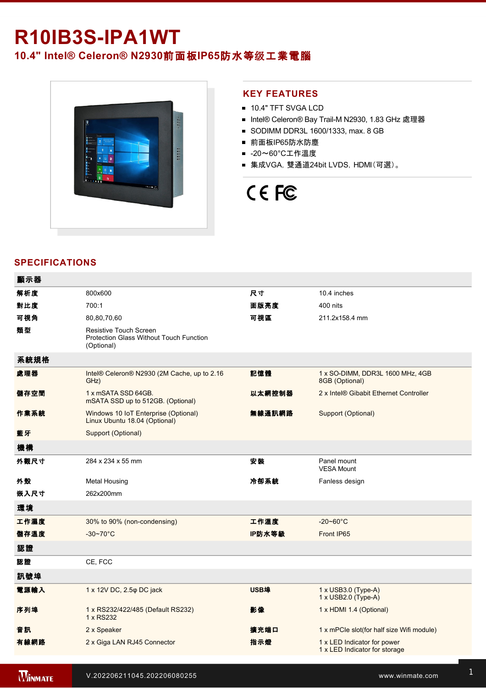## **R10IB3SIPA1WT 10.4" Intel® Celeron® N2930**前面板**IP65**防水等级工業電腦



#### **KEY FEATURES**

- **10.4" TFT SVGA LCD**
- Intel® Celeron® Bay Trail-M N2930, 1.83 GHz 處理器
- SODIMM DDR3L 1600/1333, max. 8 GB
- 前面板IP65防水防塵
- -20~60°C工作溫度
- 集成VGA, 雙通道24bit LVDS, HDMI(可選)。

# CE FC

### **SPECIFICATIONS**

 $\overline{a}$ 

| 顯示器  |                                                                                        |        |                                                              |
|------|----------------------------------------------------------------------------------------|--------|--------------------------------------------------------------|
| 解析度  | 800x600                                                                                | 尺寸     | 10.4 inches                                                  |
| 對比度  | 700:1                                                                                  | 面版亮度   | 400 nits                                                     |
| 可視角  | 80,80,70,60                                                                            | 可視區    | 211.2x158.4 mm                                               |
| 類型   | Resistive Touch Screen<br><b>Protection Glass Without Touch Function</b><br>(Optional) |        |                                                              |
| 系統規格 |                                                                                        |        |                                                              |
| 處理器  | Intel® Celeron® N2930 (2M Cache, up to 2.16<br>GHz)                                    | 記憶體    | 1 x SO-DIMM, DDR3L 1600 MHz, 4GB<br>8GB (Optional)           |
| 儲存空間 | 1 x mSATA SSD 64GB.<br>mSATA SSD up to 512GB. (Optional)                               | 以太網控制器 | 2 x Intel® Gibabit Ethernet Controller                       |
| 作業系統 | Windows 10 IoT Enterprise (Optional)<br>Linux Ubuntu 18.04 (Optional)                  | 無線通訊網路 | Support (Optional)                                           |
| 藍牙   | Support (Optional)                                                                     |        |                                                              |
| 機構   |                                                                                        |        |                                                              |
| 外觀尺寸 | 284 x 234 x 55 mm                                                                      | 安装     | Panel mount<br><b>VESA Mount</b>                             |
| 外殼   | Metal Housing                                                                          | 冷卻系統   | Fanless design                                               |
| 嵌入尺寸 | 262x200mm                                                                              |        |                                                              |
| 環境   |                                                                                        |        |                                                              |
| 工作濕度 | 30% to 90% (non-condensing)                                                            | 工作溫度   | $-20 - 60^{\circ}$ C                                         |
| 儲存溫度 | $-30-70$ °C                                                                            | IP防水等級 | Front IP65                                                   |
| 認證   |                                                                                        |        |                                                              |
| 認證   | CE, FCC                                                                                |        |                                                              |
| 訊號埠  |                                                                                        |        |                                                              |
| 電源輸入 | 1 x 12V DC, 2.5 $\varphi$ DC jack                                                      | USB埠   | 1 x USB3.0 (Type-A)<br>1 x USB2.0 (Type-A)                   |
| 序列埠  | 1 x RS232/422/485 (Default RS232)<br>1 x RS232                                         | 影像     | 1 x HDMI 1.4 (Optional)                                      |
| 音訊   | 2 x Speaker                                                                            | 擴充端口   | 1 x mPCle slot(for half size Wifi module)                    |
| 有線網路 | 2 x Giga LAN RJ45 Connector                                                            | 指示燈    | 1 x LED Indicator for power<br>1 x LED Indicator for storage |
|      |                                                                                        |        |                                                              |

**WINMATE**